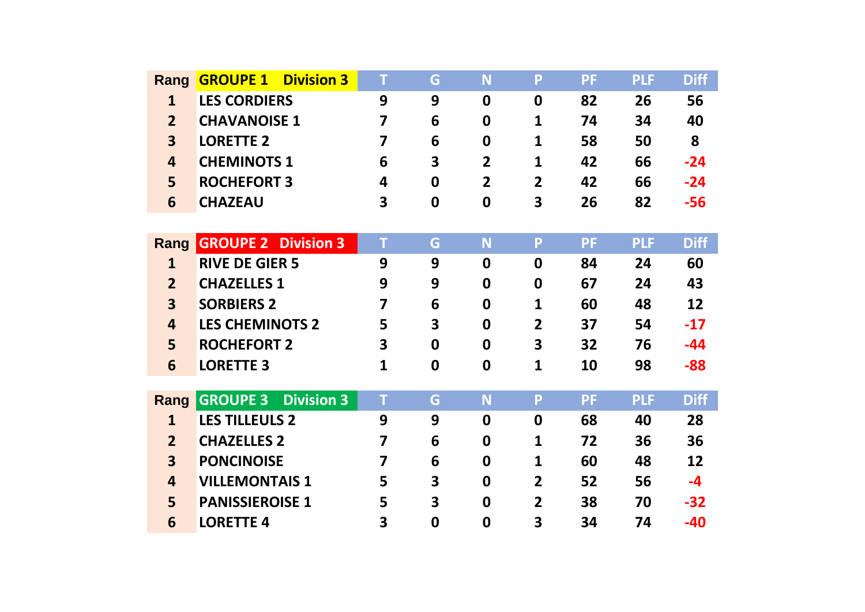| Rang                    | <b>GROUPE 1</b><br><b>Division 3</b> | T | G                       | N                | P              | <b>PF</b> | <b>PLF</b> | <b>Diff</b> |
|-------------------------|--------------------------------------|---|-------------------------|------------------|----------------|-----------|------------|-------------|
| $\mathbf{1}$            | <b>LES CORDIERS</b>                  | 9 | 9                       | 0                | $\mathbf 0$    | 82        | 26         | 56          |
| $\overline{2}$          | <b>CHAVANOISE 1</b>                  | 7 | 6                       | 0                | 1              | 74        | 34         | 40          |
| $\overline{\mathbf{3}}$ | <b>LORETTE 2</b>                     | 7 | 6                       | $\mathbf 0$      | 1              | 58        | 50         | 8           |
| $\overline{\mathbf{4}}$ | <b>CHEMINOTS 1</b>                   | 6 | 3                       | $\overline{2}$   | 1              | 42        | 66         | $-24$       |
| 5                       | <b>ROCHEFORT 3</b>                   | 4 | $\boldsymbol{0}$        | $\overline{2}$   | $\overline{2}$ | 42        | 66         | $-24$       |
| 6                       | <b>CHAZEAU</b>                       | 3 | $\mathbf 0$             | 0                | 3              | 26        | 82         | $-56$       |
|                         |                                      |   |                         |                  |                |           |            |             |
| Rang                    | <b>GROUPE 2 Division 3</b>           | T | G                       | N                | P              | <b>PF</b> | <b>PLF</b> | <b>Diff</b> |
| $\mathbf{1}$            | <b>RIVE DE GIER 5</b>                | 9 | 9                       | 0                | $\mathbf 0$    | 84        | 24         | 60          |
| 2 <sup>1</sup>          | <b>CHAZELLES 1</b>                   | 9 | 9                       | 0                | 0              | 67        | 24         | 43          |
| $\overline{\mathbf{3}}$ | <b>SORBIERS 2</b>                    | 7 | 6                       | $\boldsymbol{0}$ | 1              | 60        | 48         | 12          |
| 4                       | <b>LES CHEMINOTS 2</b>               | 5 | $\overline{\mathbf{3}}$ | $\mathbf 0$      | $\overline{2}$ | 37        | 54         | $-17$       |
| 5                       | <b>ROCHEFORT 2</b>                   | 3 | 0                       | 0                | 3              | 32        | 76         | $-44$       |
| 6                       | <b>LORETTE 3</b>                     | 1 | $\boldsymbol{0}$        | $\boldsymbol{0}$ | 1              | 10        | 98         | $-88$       |
|                         |                                      |   |                         |                  |                |           |            |             |
| Rang                    | <b>GROUPE 3</b><br><b>Division 3</b> | T | G                       | N                | P              | <b>PF</b> | <b>PLF</b> | <b>Diff</b> |
| $\mathbf{1}$            | <b>LES TILLEULS 2</b>                | 9 | 9                       | $\boldsymbol{0}$ | $\mathbf 0$    | 68        | 40         | 28          |
| $\overline{2}$          | <b>CHAZELLES 2</b>                   | 7 | 6                       | 0                | 1              | 72        | 36         | 36          |
| $\overline{\mathbf{3}}$ | <b>PONCINOISE</b>                    | 7 | 6                       | 0                | 1              | 60        | 48         | 12          |
| $\overline{\mathbf{4}}$ | <b>VILLEMONTAIS 1</b>                | 5 | 3                       | 0                | $\overline{2}$ | 52        | 56         | $-4$        |
| 5                       | <b>PANISSIEROISE 1</b>               | 5 | 3                       | 0                | $\overline{2}$ | 38        | 70         | $-32$       |
| 6                       | <b>LORETTE 4</b>                     | 3 | $\boldsymbol{0}$        | $\boldsymbol{0}$ | 3              | 34        | 74         | $-40$       |